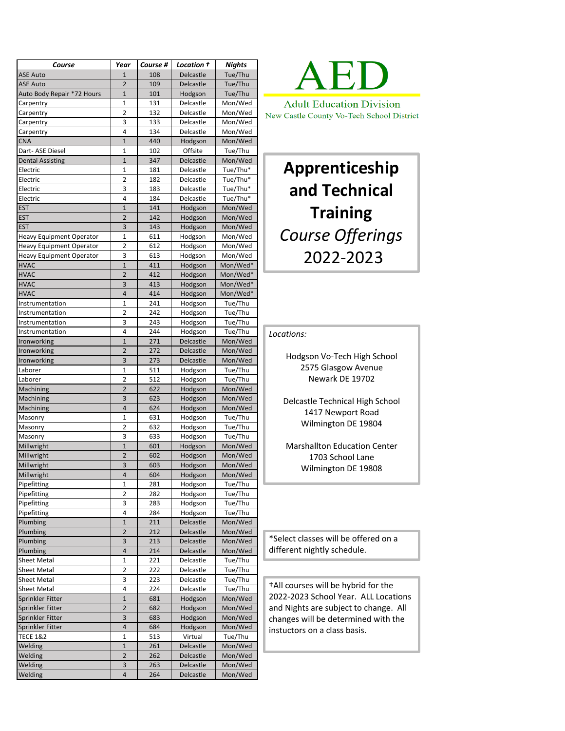| Course                          | Year                | Course # | Location † | <b>Nights</b> |
|---------------------------------|---------------------|----------|------------|---------------|
| <b>ASE Auto</b>                 | $\mathbf{1}$        | 108      | Delcastle  | Tue/Thu       |
| <b>ASE Auto</b>                 | $\overline{2}$      | 109      | Delcastle  | Tue/Thu       |
| Auto Body Repair *72 Hours      | $\mathbf{1}$        | 101      | Hodgson    | Tue/Thu       |
| Carpentry                       | 1                   | 131      | Delcastle  | Mon/Wed       |
| Carpentry                       | $\overline{2}$      | 132      | Delcastle  | Mon/Wed       |
| Carpentry                       | 3                   | 133      | Delcastle  | Mon/Wed       |
| Carpentry                       | 4                   | 134      | Delcastle  | Mon/Wed       |
| <b>CNA</b>                      | $\mathbf{1}$        | 440      | Hodgson    | Mon/Wed       |
| Dart- ASE Diesel                | 1                   | 102      | Offsite    | Tue/Thu       |
| <b>Dental Assisting</b>         | $\mathbf{1}$        | 347      | Delcastle  | Mon/Wed       |
|                                 |                     |          |            | Tue/Thu*      |
| Electric                        | 1<br>$\overline{2}$ | 181      | Delcastle  |               |
| Electric                        |                     | 182      | Delcastle  | Tue/Thu*      |
| Electric                        | 3                   | 183      | Delcastle  | Tue/Thu*      |
| Electric                        | 4                   | 184      | Delcastle  | Tue/Thu*      |
| <b>EST</b>                      | $\mathbf{1}$        | 141      | Hodgson    | Mon/Wed       |
| <b>EST</b>                      | $\overline{2}$      | 142      | Hodgson    | Mon/Wed       |
| <b>EST</b>                      | 3                   | 143      | Hodgson    | Mon/Wed       |
| <b>Heavy Equipment Operator</b> | 1                   | 611      | Hodgson    | Mon/Wed       |
| <b>Heavy Equipment Operator</b> | $\overline{2}$      | 612      | Hodgson    | Mon/Wed       |
| <b>Heavy Equipment Operator</b> | 3                   | 613      | Hodgson    | Mon/Wed       |
| <b>HVAC</b>                     | $\mathbf{1}$        | 411      | Hodgson    | Mon/Wed*      |
| <b>HVAC</b>                     | $\overline{2}$      | 412      | Hodgson    | Mon/Wed*      |
| <b>HVAC</b>                     | 3                   | 413      | Hodgson    | Mon/Wed*      |
| <b>HVAC</b>                     | 4                   | 414      | Hodgson    | Mon/Wed*      |
| Instrumentation                 | 1                   | 241      | Hodgson    | Tue/Thu       |
|                                 | $\overline{2}$      |          |            |               |
| Instrumentation                 |                     | 242      | Hodgson    | Tue/Thu       |
| Instrumentation                 | 3                   | 243      | Hodgson    | Tue/Thu       |
| Instrumentation                 | 4                   | 244      | Hodgson    | Tue/Thu       |
| <b>Ironworking</b>              | $\mathbf{1}$        | 271      | Delcastle  | Mon/Wed       |
| Ironworking                     | $\overline{2}$      | 272      | Delcastle  | Mon/Wed       |
| <b>Ironworking</b>              | 3                   | 273      | Delcastle  | Mon/Wed       |
| Laborer                         | 1                   | 511      | Hodgson    | Tue/Thu       |
| Laborer                         | 2                   | 512      | Hodgson    | Tue/Thu       |
| Machining                       | $\overline{2}$      | 622      | Hodgson    | Mon/Wed       |
| Machining                       | 3                   | 623      | Hodgson    | Mon/Wed       |
| Machining                       | 4                   | 624      | Hodgson    | Mon/Wed       |
| Masonry                         | $\mathbf{1}$        | 631      | Hodgson    | Tue/Thu       |
| Masonry                         | 2                   | 632      | Hodgson    | Tue/Thu       |
| Masonry                         | 3                   | 633      | Hodgson    | Tue/Thu       |
| Millwright                      | $\mathbf{1}$        | 601      |            |               |
|                                 |                     |          | Hodgson    | Mon/Wed       |
| Millwright                      | $\overline{2}$      | 602      | Hodgson    | Mon/Wed       |
| Millwright                      | 3                   | 603      | Hodgson    | Mon/Wed       |
| Millwright                      | 4                   | 604      | Hodgson    | Mon/Wed       |
| Pipefitting                     | 1                   | 281      | Hodgson    | Tue/Thu       |
| Pipefitting                     | 2                   | 282      | Hodgson    | Tue/Thu       |
| Pipefitting                     | 3                   | 283      | Hodgson    | Tue/Thu       |
| Pipefitting                     | 4                   | 284      | Hodgson    | Tue/Thu       |
| Plumbing                        | 1                   | 211      | Delcastle  | Mon/Wed       |
| Plumbing                        | $\overline{2}$      | 212      | Delcastle  | Mon/Wed       |
| Plumbing                        | 3                   | 213      | Delcastle  | Mon/Wed       |
| Plumbing                        | 4                   | 214      | Delcastle  | Mon/Wed       |
| Sheet Metal                     | 1                   | 221      | Delcastle  | Tue/Thu       |
| Sheet Metal                     | 2                   | 222      | Delcastle  | Tue/Thu       |
| Sheet Metal                     | 3                   | 223      | Delcastle  | Tue/Thu       |
|                                 | 4                   | 224      |            | Tue/Thu       |
| Sheet Metal                     |                     |          | Delcastle  |               |
| Sprinkler Fitter                | 1                   | 681      | Hodgson    | Mon/Wed       |
| Sprinkler Fitter                | 2                   | 682      | Hodgson    | Mon/Wed       |
| Sprinkler Fitter                | 3                   | 683      | Hodgson    | Mon/Wed       |
| Sprinkler Fitter                | 4                   | 684      | Hodgson    | Mon/Wed       |
| <b>TECE 1&amp;2</b>             | 1                   | 513      | Virtual    | Tue/Thu       |
| Welding                         | $\mathbf{1}$        | 261      | Delcastle  | Mon/Wed       |
| Welding                         | $\overline{2}$      | 262      | Delcastle  | Mon/Wed       |
| Welding                         | 3                   | 263      | Delcastle  | Mon/Wed       |
| Welding                         | 4                   | 264      | Delcastle  | Mon/Wed       |



## **Apprenticeship and Technical Training**  *Course Offerings* 2022-2023

## *Locations:*

Hodgson Vo-Tech High School 2575 Glasgow Avenue Newark DE 19702

Delcastle Technical High School 1417 Newport Road Wilmington DE 19804

Marshallton Education Center 1703 School Lane Wilmington DE 19808

\*Select classes will be offered on a different nightly schedule.

†All courses will be hybrid for the 2022-2023 School Year. ALL Locations and Nights are subject to change. All changes will be determined with the instuctors on a class basis.